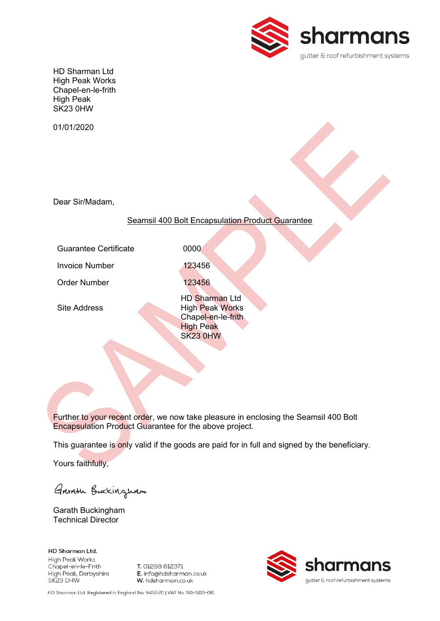

HD Sharman Ltd High Peak Works Chapel-en-le-frith High Peak SK23 0HW

01/01/2020

Dear Sir/Madam,

#### Seamsil 400 Bolt Encapsulation Product Guarantee

Guarantee Certificate **10000** 

Invoice Number 123456

Site Address

Order Number 123456 HD Sharman Ltd High Peak Works Chapel-en-le-frith High Peak

SK23 0HW

Further to your recent order, we now take pleasure in enclosing the Seamsil 400 Bolt Encapsulation Product Guarantee for the above project.

This guarantee is only valid if the goods are paid for in full and signed by the beneficiary.

Yours faithfully,

Garriste Buckingwam

Garath Buckingham Technical Director

**HD Sharman Ltd. High Peak Works** Chapel-en-le-Frith High Peak, Derbyshire SK23 OHW

T. 01298 812371 E. info@hdsharman.co.uk W. hdsharman.co.uk



HD Sharman Ltd. Registered in England No. 945570 | VAT No. 511-5113-06.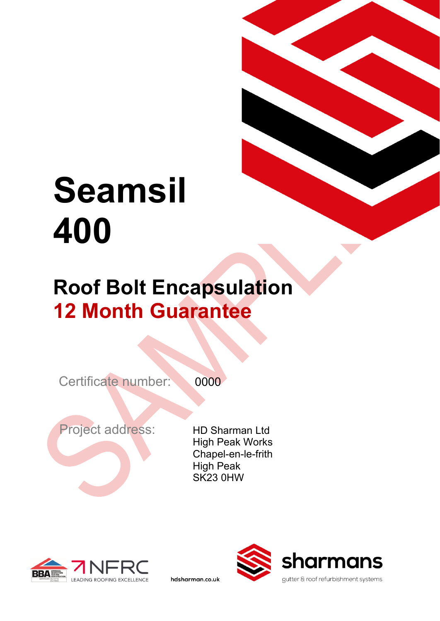# **Seamsil 400**

### **Roof Bolt Encapsulation 12 Month Guarantee**

Certificate number: 0000

hdsharman.co.uk

Project address:

HD Sharman Ltd High Peak Works Chapel-en-le-frith High Peak SK23 0HW



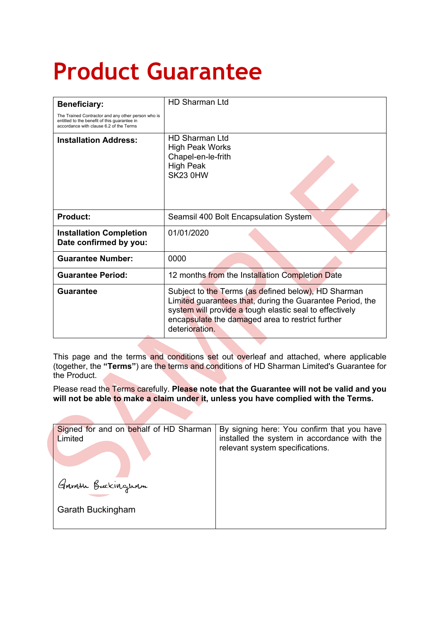## **Product Guarantee**

| <b>Beneficiary:</b>                                                                                                                           | <b>HD Sharman Ltd</b>                                                                                                                                                                                                                             |
|-----------------------------------------------------------------------------------------------------------------------------------------------|---------------------------------------------------------------------------------------------------------------------------------------------------------------------------------------------------------------------------------------------------|
| The Trained Contractor and any other person who is<br>entitled to the benefit of this guarantee in<br>accordance with clause 6.2 of the Terms |                                                                                                                                                                                                                                                   |
| <b>Installation Address:</b>                                                                                                                  | <b>HD Sharman Ltd</b><br><b>High Peak Works</b><br>Chapel-en-le-frith<br><b>High Peak</b><br>SK23 0HW                                                                                                                                             |
| <b>Product:</b>                                                                                                                               | Seamsil 400 Bolt Encapsulation System                                                                                                                                                                                                             |
| <b>Installation Completion</b><br>Date confirmed by you:                                                                                      | 01/01/2020                                                                                                                                                                                                                                        |
| <b>Guarantee Number:</b>                                                                                                                      | 0000                                                                                                                                                                                                                                              |
| <b>Guarantee Period:</b>                                                                                                                      | 12 months from the Installation Completion Date                                                                                                                                                                                                   |
| Guarantee                                                                                                                                     | Subject to the Terms (as defined below), HD Sharman<br>Limited guarantees that, during the Guarantee Period, the<br>system will provide a tough elastic seal to effectively<br>encapsulate the damaged area to restrict further<br>deterioration. |

This page and the terms and conditions set out overleaf and attached, where applicable (together, the **"Terms"**) are the terms and conditions of HD Sharman Limited's Guarantee for the Product.

Please read the Terms carefully. **Please note that the Guarantee will not be valid and you will not be able to make a claim under it, unless you have complied with the Terms.**

| Signed for and on behalf of HD Sharman | By signing here: You confirm that you have  |
|----------------------------------------|---------------------------------------------|
| Limited                                | installed the system in accordance with the |
| Garath Buckingham                      | relevant system specifications.             |
| Garath Buckingham                      |                                             |